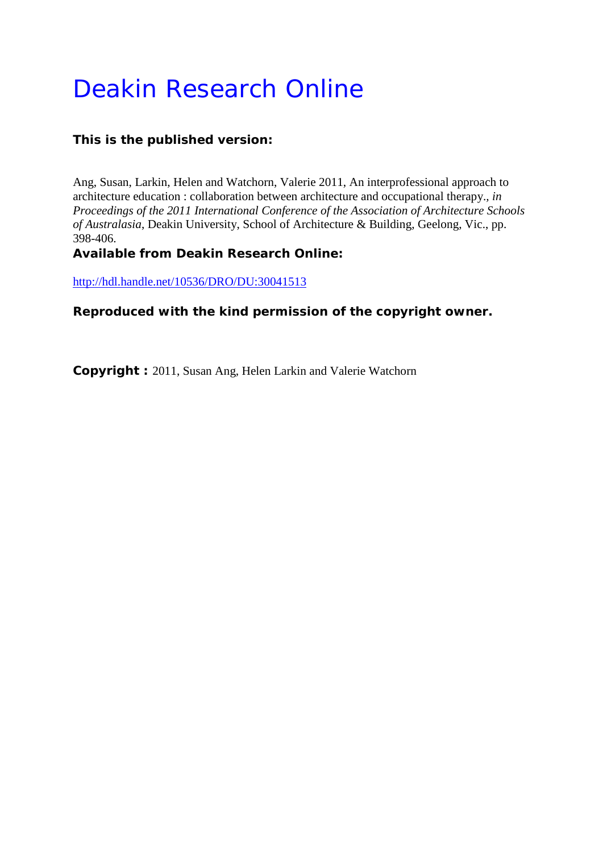# Deakin Research Online

# **This is the published version:**

Ang, Susan, Larkin, Helen and Watchorn, Valerie 2011, An interprofessional approach to architecture education : collaboration between architecture and occupational therapy.*, in Proceedings of the 2011 International Conference of the Association of Architecture Schools of Australasia*, Deakin University, School of Architecture & Building, Geelong, Vic., pp. 398-406.

# **Available from Deakin Research Online:**

<http://hdl.handle.net/10536/DRO/DU:30041513>

# **Reproduced with the kind permission of the copyright owner.**

**Copyright :** 2011, Susan Ang, Helen Larkin and Valerie Watchorn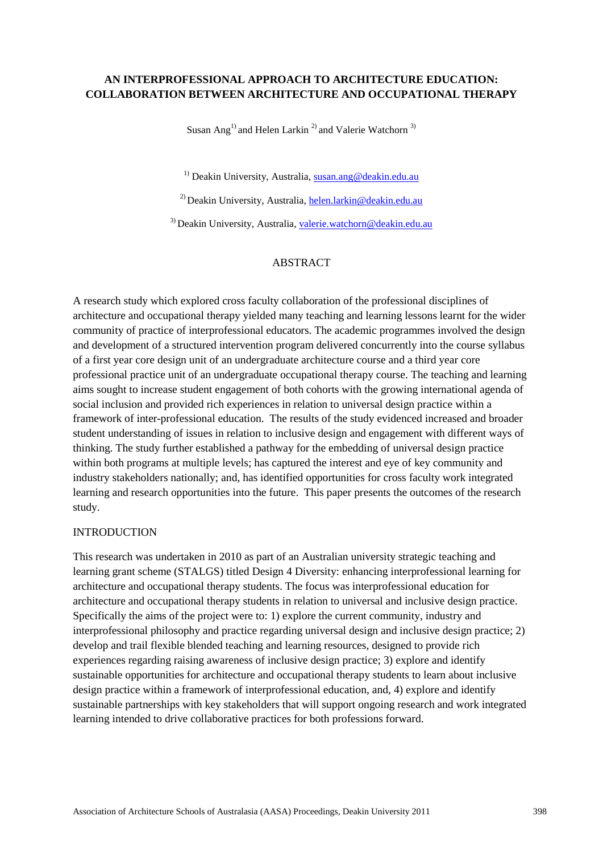# **AN INTERPROFESSIONAL APPROACH TO ARCHITECTURE EDUCATION: COLLABORATION BETWEEN ARCHITECTURE AND OCCUPATIONAL THERAPY**

Susan Ang<sup>1)</sup> and Helen Larkin<sup>2)</sup> and Valerie Watchorn<sup>3)</sup>

<sup>1)</sup> Deakin University, Australia, [susan.ang@deakin.edu.au](mailto:susan.ang@deakin.edu.au)

<sup>2)</sup> Deakin University, Australia, [helen.larkin@deakin.edu.au](mailto:helen.larkin@deakin.edu.au)

<sup>3)</sup> Deakin University, Australia, [valerie.watchorn@deakin.edu.au](mailto:valerie.watchorn@deakin.edu.au)

## ABSTRACT

A research study which explored cross faculty collaboration of the professional disciplines of architecture and occupational therapy yielded many teaching and learning lessons learnt for the wider community of practice of interprofessional educators. The academic programmes involved the design and development of a structured intervention program delivered concurrently into the course syllabus of a first year core design unit of an undergraduate architecture course and a third year core professional practice unit of an undergraduate occupational therapy course. The teaching and learning aims sought to increase student engagement of both cohorts with the growing international agenda of social inclusion and provided rich experiences in relation to universal design practice within a framework of inter-professional education. The results of the study evidenced increased and broader student understanding of issues in relation to inclusive design and engagement with different ways of thinking. The study further established a pathway for the embedding of universal design practice within both programs at multiple levels; has captured the interest and eye of key community and industry stakeholders nationally; and, has identified opportunities for cross faculty work integrated learning and research opportunities into the future. This paper presents the outcomes of the research study.

#### INTRODUCTION

This research was undertaken in 2010 as part of an Australian university strategic teaching and learning grant scheme (STALGS) titled Design 4 Diversity: enhancing interprofessional learning for architecture and occupational therapy students. The focus was interprofessional education for architecture and occupational therapy students in relation to universal and inclusive design practice. Specifically the aims of the project were to: 1) explore the current community, industry and interprofessional philosophy and practice regarding universal design and inclusive design practice; 2) develop and trail flexible blended teaching and learning resources, designed to provide rich experiences regarding raising awareness of inclusive design practice; 3) explore and identify sustainable opportunities for architecture and occupational therapy students to learn about inclusive design practice within a framework of interprofessional education, and, 4) explore and identify sustainable partnerships with key stakeholders that will support ongoing research and work integrated learning intended to drive collaborative practices for both professions forward.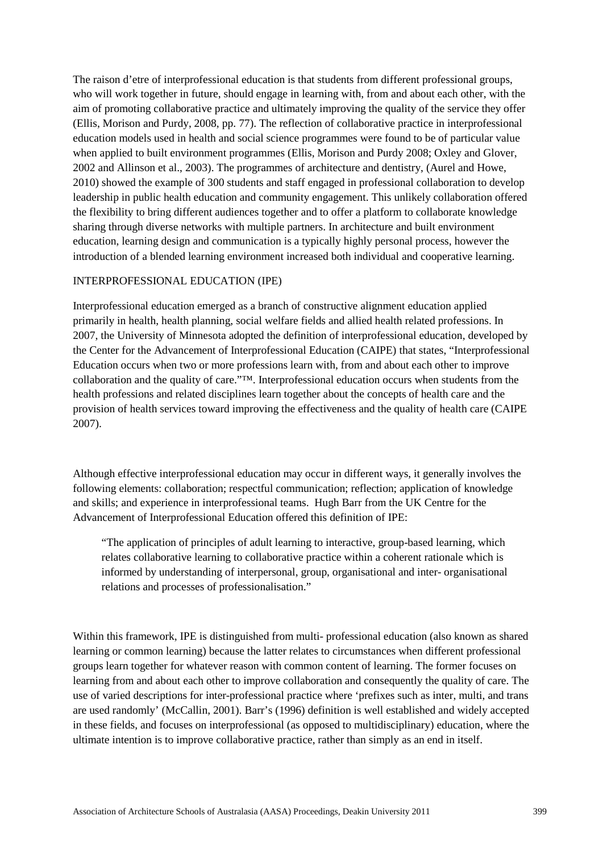The raison d'etre of interprofessional education is that students from different professional groups, who will work together in future, should engage in learning with, from and about each other, with the aim of promoting collaborative practice and ultimately improving the quality of the service they offer (Ellis, Morison and Purdy, 2008, pp. 77). The reflection of collaborative practice in interprofessional education models used in health and social science programmes were found to be of particular value when applied to built environment programmes (Ellis, Morison and Purdy 2008; Oxley and Glover, 2002 and Allinson et al., 2003). The programmes of architecture and dentistry, (Aurel and Howe, 2010) showed the example of 300 students and staff engaged in professional collaboration to develop leadership in public health education and community engagement. This unlikely collaboration offered the flexibility to bring different audiences together and to offer a platform to collaborate knowledge sharing through diverse networks with multiple partners. In architecture and built environment education, learning design and communication is a typically highly personal process, however the introduction of a blended learning environment increased both individual and cooperative learning.

#### INTERPROFESSIONAL EDUCATION (IPE)

Interprofessional education emerged as a branch of constructive alignment education applied primarily in health, health planning, social welfare fields and allied health related professions. In 2007, the University of Minnesota adopted the definition of interprofessional education, developed by the Center for the Advancement of Interprofessional Education (CAIPE) that states, "Interprofessional Education occurs when two or more professions learn with, from and about each other to improve collaboration and the quality of care."™. Interprofessional education occurs when students from the health professions and related disciplines learn together about the concepts of health care and the provision of health services toward improving the effectiveness and the quality of health care (CAIPE 2007).

Although effective interprofessional education may occur in different ways, it generally involves the following elements: collaboration; respectful communication; reflection; application of knowledge and skills; and experience in interprofessional teams. Hugh Barr from the UK Centre for the Advancement of Interprofessional Education offered this definition of IPE:

"The application of principles of adult learning to interactive, group-based learning, which relates collaborative learning to collaborative practice within a coherent rationale which is informed by understanding of interpersonal, group, organisational and inter- organisational relations and processes of professionalisation."

Within this framework, IPE is distinguished from multi- professional education (also known as shared learning or common learning) because the latter relates to circumstances when different professional groups learn together for whatever reason with common content of learning. The former focuses on learning from and about each other to improve collaboration and consequently the quality of care. The use of varied descriptions for inter-professional practice where 'prefixes such as inter, multi, and trans are used randomly' (McCallin, 2001). Barr's (1996) definition is well established and widely accepted in these fields, and focuses on interprofessional (as opposed to multidisciplinary) education, where the ultimate intention is to improve collaborative practice, rather than simply as an end in itself.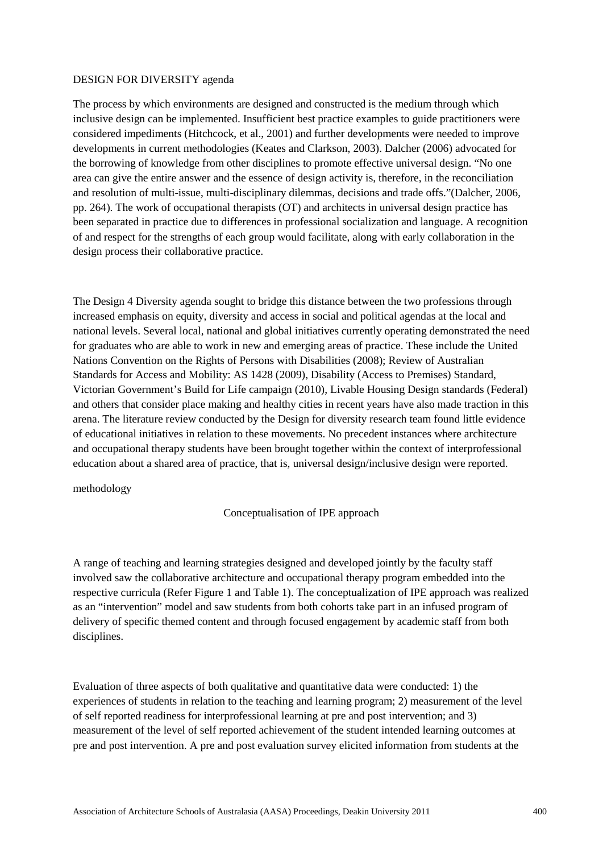# DESIGN FOR DIVERSITY agenda

The process by which environments are designed and constructed is the medium through which inclusive design can be implemented. Insufficient best practice examples to guide practitioners were considered impediments (Hitchcock, et al., 2001) and further developments were needed to improve developments in current methodologies (Keates and Clarkson, 2003). Dalcher (2006) advocated for the borrowing of knowledge from other disciplines to promote effective universal design. "No one area can give the entire answer and the essence of design activity is, therefore, in the reconciliation and resolution of multi-issue, multi-disciplinary dilemmas, decisions and trade offs."(Dalcher, 2006, pp. 264). The work of occupational therapists (OT) and architects in universal design practice has been separated in practice due to differences in professional socialization and language. A recognition of and respect for the strengths of each group would facilitate, along with early collaboration in the design process their collaborative practice.

The Design 4 Diversity agenda sought to bridge this distance between the two professions through increased emphasis on equity, diversity and access in social and political agendas at the local and national levels. Several local, national and global initiatives currently operating demonstrated the need for graduates who are able to work in new and emerging areas of practice. These include the United Nations Convention on the Rights of Persons with Disabilities (2008); Review of Australian Standards for Access and Mobility: AS 1428 (2009), Disability (Access to Premises) Standard, Victorian Government's Build for Life campaign (2010), Livable Housing Design standards (Federal) and others that consider place making and healthy cities in recent years have also made traction in this arena. The literature review conducted by the Design for diversity research team found little evidence of educational initiatives in relation to these movements. No precedent instances where architecture and occupational therapy students have been brought together within the context of interprofessional education about a shared area of practice, that is, universal design/inclusive design were reported.

#### methodology

# Conceptualisation of IPE approach

A range of teaching and learning strategies designed and developed jointly by the faculty staff involved saw the collaborative architecture and occupational therapy program embedded into the respective curricula (Refer Figure 1 and Table 1). The conceptualization of IPE approach was realized as an "intervention" model and saw students from both cohorts take part in an infused program of delivery of specific themed content and through focused engagement by academic staff from both disciplines.

Evaluation of three aspects of both qualitative and quantitative data were conducted: 1) the experiences of students in relation to the teaching and learning program; 2) measurement of the level of self reported readiness for interprofessional learning at pre and post intervention; and 3) measurement of the level of self reported achievement of the student intended learning outcomes at pre and post intervention. A pre and post evaluation survey elicited information from students at the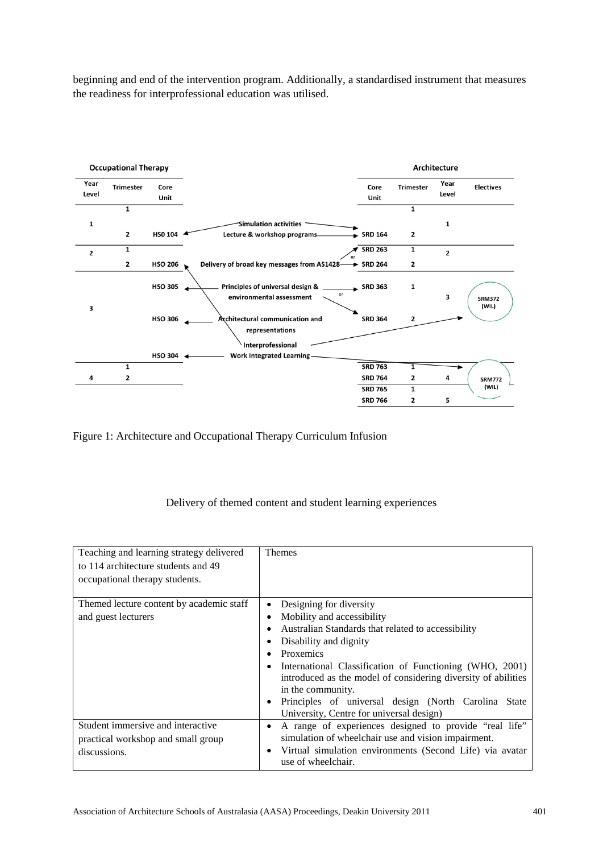beginning and end of the intervention program. Additionally, a standardised instrument that measures the readiness for interprofessional education was utilised.



Figure 1: Architecture and Occupational Therapy Curriculum Infusion

# Delivery of themed content and student learning experiences

| Teaching and learning strategy delivered<br>to 114 architecture students and 49<br>occupational therapy students. | <b>Themes</b>                                                                                                                                                                                                                                                                                                                                                                                           |
|-------------------------------------------------------------------------------------------------------------------|---------------------------------------------------------------------------------------------------------------------------------------------------------------------------------------------------------------------------------------------------------------------------------------------------------------------------------------------------------------------------------------------------------|
| Themed lecture content by academic staff<br>and guest lecturers                                                   | Designing for diversity<br>Mobility and accessibility<br>Australian Standards that related to accessibility<br>Disability and dignity<br>Proxemics<br>International Classification of Functioning (WHO, 2001)<br>introduced as the model of considering diversity of abilities<br>in the community.<br>Principles of universal design (North Carolina State<br>University, Centre for universal design) |
| Student immersive and interactive<br>practical workshop and small group<br>discussions.                           | A range of experiences designed to provide "real life"<br>٠<br>simulation of wheelchair use and vision impairment.<br>Virtual simulation environments (Second Life) via avatar<br>$\bullet$<br>use of wheelchair.                                                                                                                                                                                       |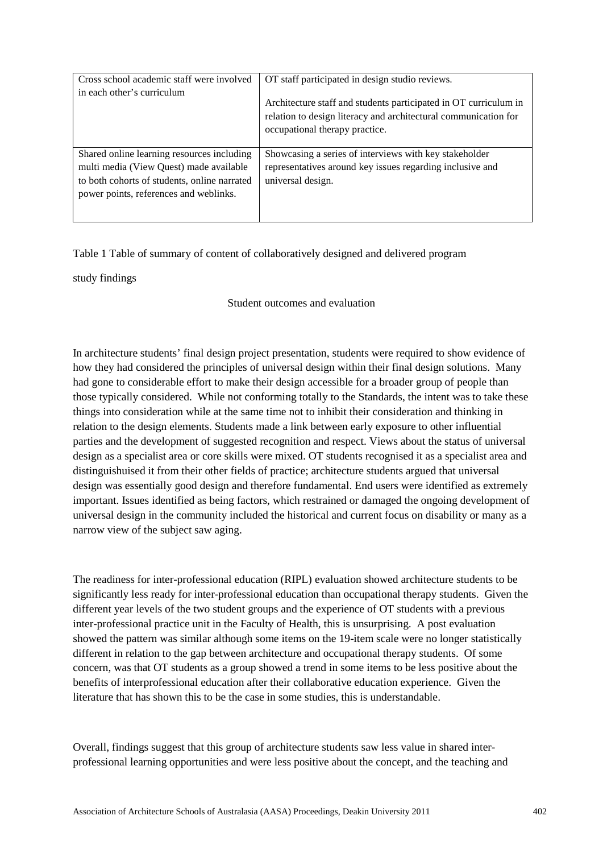| Cross school academic staff were involved                                                                                                                                       | OT staff participated in design studio reviews.                                                                                                                       |
|---------------------------------------------------------------------------------------------------------------------------------------------------------------------------------|-----------------------------------------------------------------------------------------------------------------------------------------------------------------------|
| in each other's curriculum                                                                                                                                                      | Architecture staff and students participated in OT curriculum in<br>relation to design literacy and architectural communication for<br>occupational therapy practice. |
| Shared online learning resources including<br>multi media (View Quest) made available<br>to both cohorts of students, online narrated<br>power points, references and weblinks. | Showcasing a series of interviews with key stakeholder<br>representatives around key issues regarding inclusive and<br>universal design.                              |

# Table 1 Table of summary of content of collaboratively designed and delivered program

study findings

Student outcomes and evaluation

In architecture students' final design project presentation, students were required to show evidence of how they had considered the principles of universal design within their final design solutions. Many had gone to considerable effort to make their design accessible for a broader group of people than those typically considered. While not conforming totally to the Standards, the intent was to take these things into consideration while at the same time not to inhibit their consideration and thinking in relation to the design elements. Students made a link between early exposure to other influential parties and the development of suggested recognition and respect. Views about the status of universal design as a specialist area or core skills were mixed. OT students recognised it as a specialist area and distinguishuised it from their other fields of practice; architecture students argued that universal design was essentially good design and therefore fundamental. End users were identified as extremely important. Issues identified as being factors, which restrained or damaged the ongoing development of universal design in the community included the historical and current focus on disability or many as a narrow view of the subject saw aging.

The readiness for inter-professional education (RIPL) evaluation showed architecture students to be significantly less ready for inter-professional education than occupational therapy students. Given the different year levels of the two student groups and the experience of OT students with a previous inter-professional practice unit in the Faculty of Health, this is unsurprising. A post evaluation showed the pattern was similar although some items on the 19-item scale were no longer statistically different in relation to the gap between architecture and occupational therapy students. Of some concern, was that OT students as a group showed a trend in some items to be less positive about the benefits of interprofessional education after their collaborative education experience. Given the literature that has shown this to be the case in some studies, this is understandable.

Overall, findings suggest that this group of architecture students saw less value in shared interprofessional learning opportunities and were less positive about the concept, and the teaching and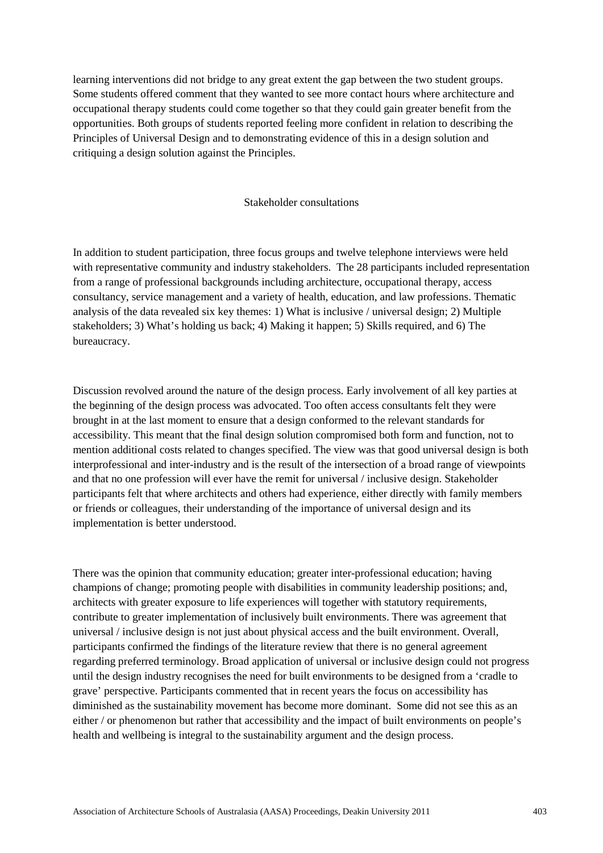learning interventions did not bridge to any great extent the gap between the two student groups. Some students offered comment that they wanted to see more contact hours where architecture and occupational therapy students could come together so that they could gain greater benefit from the opportunities. Both groups of students reported feeling more confident in relation to describing the Principles of Universal Design and to demonstrating evidence of this in a design solution and critiquing a design solution against the Principles.

#### Stakeholder consultations

In addition to student participation, three focus groups and twelve telephone interviews were held with representative community and industry stakeholders. The 28 participants included representation from a range of professional backgrounds including architecture, occupational therapy, access consultancy, service management and a variety of health, education, and law professions. Thematic analysis of the data revealed six key themes: 1) What is inclusive / universal design; 2) Multiple stakeholders; 3) What's holding us back; 4) Making it happen; 5) Skills required, and 6) The bureaucracy.

Discussion revolved around the nature of the design process. Early involvement of all key parties at the beginning of the design process was advocated. Too often access consultants felt they were brought in at the last moment to ensure that a design conformed to the relevant standards for accessibility. This meant that the final design solution compromised both form and function, not to mention additional costs related to changes specified. The view was that good universal design is both interprofessional and inter-industry and is the result of the intersection of a broad range of viewpoints and that no one profession will ever have the remit for universal / inclusive design. Stakeholder participants felt that where architects and others had experience, either directly with family members or friends or colleagues, their understanding of the importance of universal design and its implementation is better understood.

There was the opinion that community education; greater inter-professional education; having champions of change; promoting people with disabilities in community leadership positions; and, architects with greater exposure to life experiences will together with statutory requirements, contribute to greater implementation of inclusively built environments. There was agreement that universal / inclusive design is not just about physical access and the built environment. Overall, participants confirmed the findings of the literature review that there is no general agreement regarding preferred terminology. Broad application of universal or inclusive design could not progress until the design industry recognises the need for built environments to be designed from a 'cradle to grave' perspective. Participants commented that in recent years the focus on accessibility has diminished as the sustainability movement has become more dominant. Some did not see this as an either / or phenomenon but rather that accessibility and the impact of built environments on people's health and wellbeing is integral to the sustainability argument and the design process.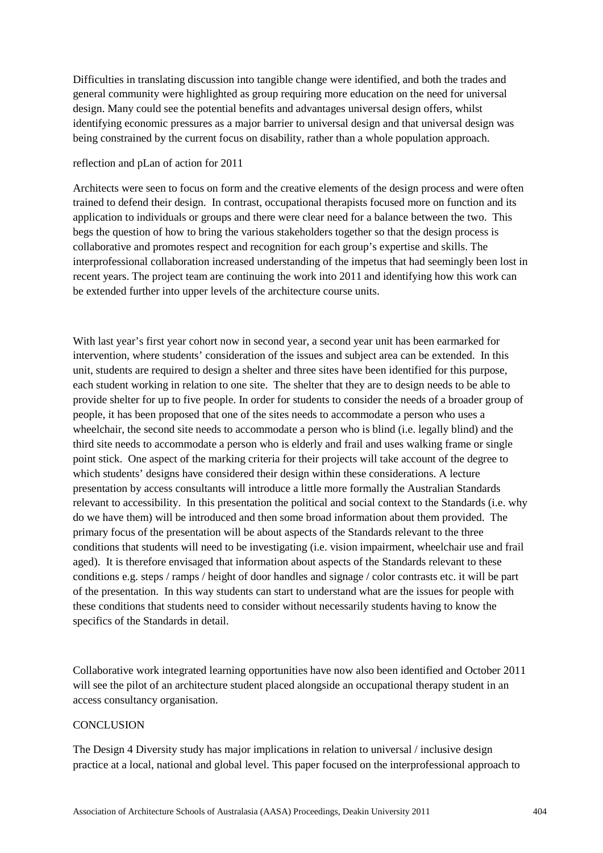Difficulties in translating discussion into tangible change were identified, and both the trades and general community were highlighted as group requiring more education on the need for universal design. Many could see the potential benefits and advantages universal design offers, whilst identifying economic pressures as a major barrier to universal design and that universal design was being constrained by the current focus on disability, rather than a whole population approach.

## reflection and pLan of action for 2011

Architects were seen to focus on form and the creative elements of the design process and were often trained to defend their design. In contrast, occupational therapists focused more on function and its application to individuals or groups and there were clear need for a balance between the two. This begs the question of how to bring the various stakeholders together so that the design process is collaborative and promotes respect and recognition for each group's expertise and skills. The interprofessional collaboration increased understanding of the impetus that had seemingly been lost in recent years. The project team are continuing the work into 2011 and identifying how this work can be extended further into upper levels of the architecture course units.

With last year's first year cohort now in second year, a second year unit has been earmarked for intervention, where students' consideration of the issues and subject area can be extended. In this unit, students are required to design a shelter and three sites have been identified for this purpose, each student working in relation to one site. The shelter that they are to design needs to be able to provide shelter for up to five people. In order for students to consider the needs of a broader group of people, it has been proposed that one of the sites needs to accommodate a person who uses a wheelchair, the second site needs to accommodate a person who is blind (i.e. legally blind) and the third site needs to accommodate a person who is elderly and frail and uses walking frame or single point stick. One aspect of the marking criteria for their projects will take account of the degree to which students' designs have considered their design within these considerations. A lecture presentation by access consultants will introduce a little more formally the Australian Standards relevant to accessibility. In this presentation the political and social context to the Standards (i.e. why do we have them) will be introduced and then some broad information about them provided. The primary focus of the presentation will be about aspects of the Standards relevant to the three conditions that students will need to be investigating (i.e. vision impairment, wheelchair use and frail aged). It is therefore envisaged that information about aspects of the Standards relevant to these conditions e.g. steps / ramps / height of door handles and signage / color contrasts etc. it will be part of the presentation. In this way students can start to understand what are the issues for people with these conditions that students need to consider without necessarily students having to know the specifics of the Standards in detail.

Collaborative work integrated learning opportunities have now also been identified and October 2011 will see the pilot of an architecture student placed alongside an occupational therapy student in an access consultancy organisation.

# **CONCLUSION**

The Design 4 Diversity study has major implications in relation to universal / inclusive design practice at a local, national and global level. This paper focused on the interprofessional approach to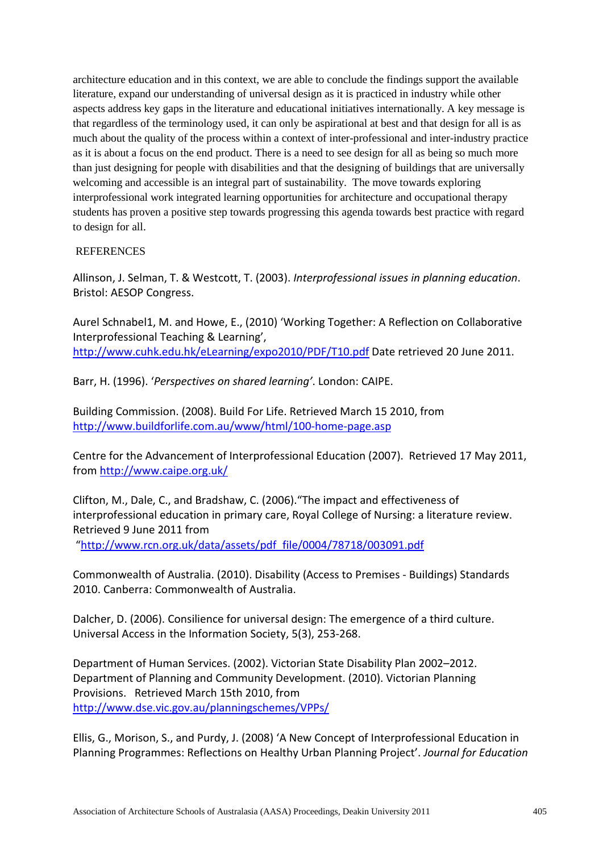architecture education and in this context, we are able to conclude the findings support the available literature, expand our understanding of universal design as it is practiced in industry while other aspects address key gaps in the literature and educational initiatives internationally. A key message is that regardless of the terminology used, it can only be aspirational at best and that design for all is as much about the quality of the process within a context of inter-professional and inter-industry practice as it is about a focus on the end product. There is a need to see design for all as being so much more than just designing for people with disabilities and that the designing of buildings that are universally welcoming and accessible is an integral part of sustainability. The move towards exploring interprofessional work integrated learning opportunities for architecture and occupational therapy students has proven a positive step towards progressing this agenda towards best practice with regard to design for all.

# **REFERENCES**

Allinson, J. Selman, T. & Westcott, T. (2003). *Interprofessional issues in planning education*. Bristol: AESOP Congress.

Aurel Schnabel1, M. and Howe, E., (2010) 'Working Together: A Reflection on Collaborative Interprofessional Teaching & Learning', <http://www.cuhk.edu.hk/eLearning/expo2010/PDF/T10.pdf> Date retrieved 20 June 2011.

Barr, H. (1996). '*Perspectives on shared learning'*. London: CAIPE.

Building Commission. (2008). Build For Life. Retrieved March 15 2010, from <http://www.buildforlife.com.au/www/html/100-home-page.asp>

Centre for the Advancement of Interprofessional Education (2007). Retrieved 17 May 2011, from<http://www.caipe.org.uk/>

Clifton, M., Dale, C., and Bradshaw, C. (2006)."The impact and effectiveness of interprofessional education in primary care, Royal College of Nursing: a literature review. Retrieved 9 June 2011 from

["http://www.rcn.org.uk/data/assets/pdf\\_file/0004/78718/003091.pdf](http://www.rcn.org.uk/__data/assets/pdf_file/0004/78718/003091.pdf)

Commonwealth of Australia. (2010). Disability (Access to Premises - Buildings) Standards 2010. Canberra: Commonwealth of Australia.

Dalcher, D. (2006). Consilience for universal design: The emergence of a third culture. Universal Access in the Information Society, 5(3), 253-268.

Department of Human Services. (2002). Victorian State Disability Plan 2002–2012. Department of Planning and Community Development. (2010). Victorian Planning Provisions. Retrieved March 15th 2010, from <http://www.dse.vic.gov.au/planningschemes/VPPs/>

Ellis, G., Morison, S., and Purdy, J. (2008) 'A New Concept of Interprofessional Education in Planning Programmes: Reflections on Healthy Urban Planning Project'. *Journal for Education*